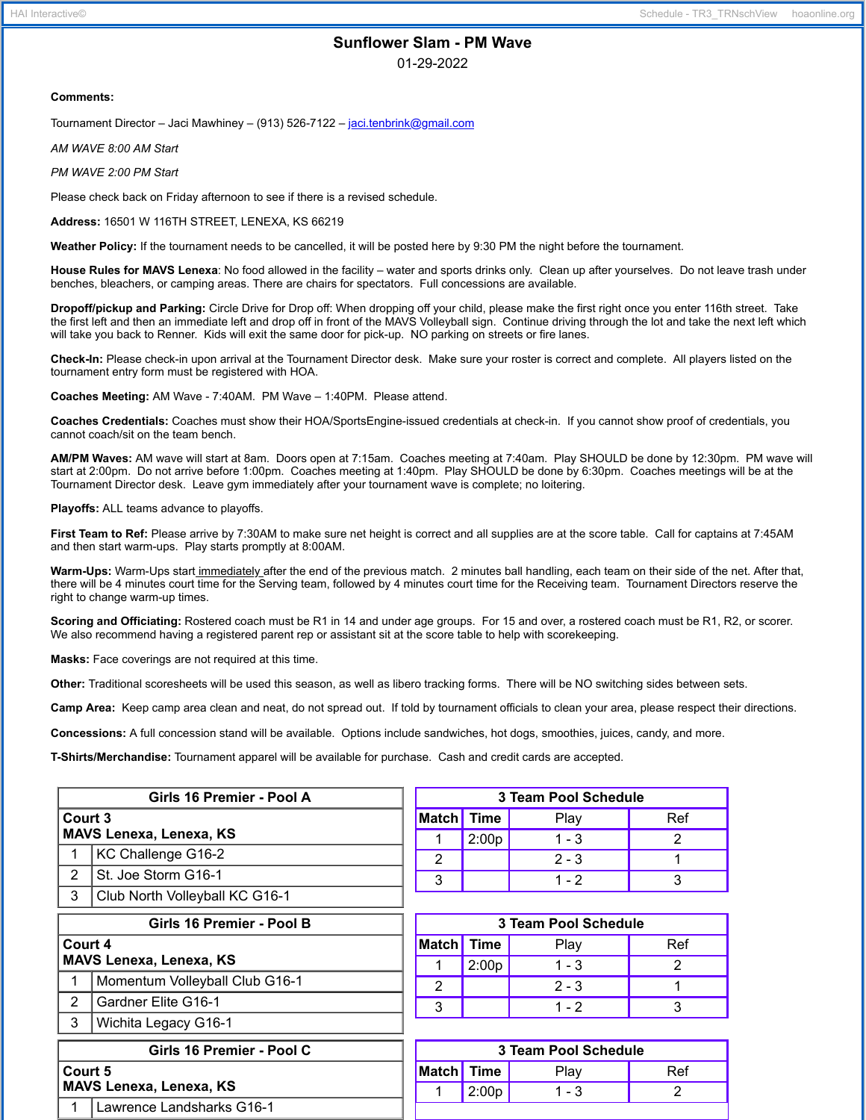# **Sunflower Slam - PM Wave**

01-29-2022

#### **Comments:**

Tournament Director – Jaci Mawhiney – (913) 526-7122 – [jaci.tenbrink@gmail.com](mailto:jaci.tenbrink@gmail.com)

*AM WAVE 8:00 AM Start*

*PM WAVE 2:00 PM Start*

Please check back on Friday afternoon to see if there is a revised schedule.

**Address:** 16501 W 116TH STREET, LENEXA, KS 66219

**Weather Policy:** If the tournament needs to be cancelled, it will be posted here by 9:30 PM the night before the tournament.

**House Rules for MAVS Lenexa**: No food allowed in the facility – water and sports drinks only. Clean up after yourselves. Do not leave trash under benches, bleachers, or camping areas. There are chairs for spectators. Full concessions are available.

**Dropoff/pickup and Parking:** Circle Drive for Drop off: When dropping off your child, please make the first right once you enter 116th street. Take the first left and then an immediate left and drop off in front of the MAVS Volleyball sign. Continue driving through the lot and take the next left which will take you back to Renner. Kids will exit the same door for pick-up. NO parking on streets or fire lanes.

**Check-In:** Please check-in upon arrival at the Tournament Director desk. Make sure your roster is correct and complete. All players listed on the tournament entry form must be registered with HOA.

**Coaches Meeting:** AM Wave - 7:40AM. PM Wave – 1:40PM. Please attend.

**Coaches Credentials:** Coaches must show their HOA/SportsEngine-issued credentials at check-in. If you cannot show proof of credentials, you cannot coach/sit on the team bench.

**AM/PM Waves:** AM wave will start at 8am. Doors open at 7:15am. Coaches meeting at 7:40am. Play SHOULD be done by 12:30pm. PM wave will start at 2:00pm. Do not arrive before 1:00pm. Coaches meeting at 1:40pm. Play SHOULD be done by 6:30pm. Coaches meetings will be at the Tournament Director desk. Leave gym immediately after your tournament wave is complete; no loitering.

**Playoffs:** ALL teams advance to playoffs.

**First Team to Ref:** Please arrive by 7:30AM to make sure net height is correct and all supplies are at the score table. Call for captains at 7:45AM and then start warm-ups. Play starts promptly at 8:00AM.

**Warm-Ups:** Warm-Ups start immediately after the end of the previous match. 2 minutes ball handling, each team on their side of the net. After that, there will be 4 minutes court time for the Serving team, followed by 4 minutes court time for the Receiving team. Tournament Directors reserve the right to change warm-up times.

**Scoring and Officiating:** Rostered coach must be R1 in 14 and under age groups. For 15 and over, a rostered coach must be R1, R2, or scorer. We also recommend having a registered parent rep or assistant sit at the score table to help with scorekeeping.

**Masks:** Face coverings are not required at this time.

3 Club North Volleyball KC G16-1

**Court 5**

**MAVS Lenexa, Lenexa, KS**

1 Lawrence Landsharks G16-1

**Other:** Traditional scoresheets will be used this season, as well as libero tracking forms. There will be NO switching sides between sets.

**Camp Area:** Keep camp area clean and neat, do not spread out. If told by tournament officials to clean your area, please respect their directions.

**Concessions:** A full concession stand will be available. Options include sandwiches, hot dogs, smoothies, juices, candy, and more.

**T-Shirts/Merchandise:** Tournament apparel will be available for purchase. Cash and credit cards are accepted.

| Girls 16 Premier - Pool A                 |                     | 3 Team Pool Schedule |             |         |     |
|-------------------------------------------|---------------------|----------------------|-------------|---------|-----|
| Court 3<br><b>MAVS Lenexa, Lenexa, KS</b> |                     | <b>Match</b>         | <b>Time</b> | Plav    | Ref |
|                                           |                     |                      | 2:00p       | $1 - 3$ |     |
|                                           | KC Challenge G16-2  | c                    |             | $2 - 3$ |     |
|                                           | St. Joe Storm G16-1 | າ                    |             | 1 - 2   |     |

| Girls 16 Premier - Pool B          |                                |  |  |  |  |
|------------------------------------|--------------------------------|--|--|--|--|
| Court 4<br>MAVS Lenexa, Lenexa, KS |                                |  |  |  |  |
|                                    | Momentum Volleyball Club G16-1 |  |  |  |  |
| 2                                  | Gardner Elite G16-1            |  |  |  |  |
| 3                                  | Wichita Legacy G16-1           |  |  |  |  |

**Girls 16 Premier - Pool C**

| 3 Team Pool Schedule |       |         |     |  |
|----------------------|-------|---------|-----|--|
| Match Time           |       | Play    | Ref |  |
|                      | 2:00p | $1 - 3$ |     |  |
|                      |       | $2 - 3$ |     |  |
|                      |       | 1 - 2   |     |  |

|  | 3 Team Pool Schedule |       |      |     |  |
|--|----------------------|-------|------|-----|--|
|  | Match Time           |       | ∽ıav | Ref |  |
|  |                      | 2:00p | - 3  |     |  |
|  |                      |       |      |     |  |